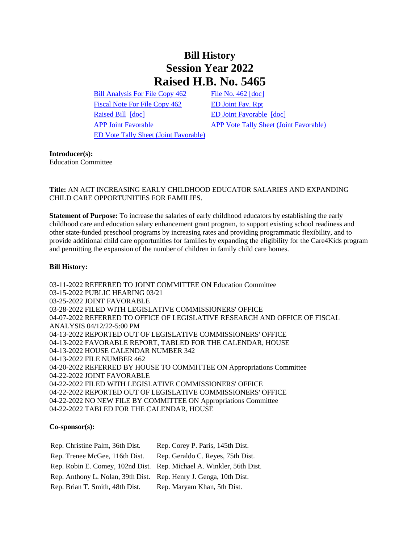## **Bill History Session Year 2022 Raised H.B. No. 5465**

[Bill Analysis For File Copy 462](/2022/BA/PDF/2022HB-05465-R000462-BA.PDF) [File No. 462](/2022/FC/PDF/2022HB-05465-R000462-FC.PDF) [\[doc\]](https://search.cga.state.ct.us/dl2022/fc/doc/2022HB-05465-R000462-FC.docx) [Fiscal Note For File Copy 462](/2022/FN/PDF/2022HB-05465-R000462-FN.PDF) [ED Joint Fav. Rpt](/2022/JFR/H/PDF/2022HB-05465-R00ED-JFR.PDF) [Raised Bill](/2022/TOB/H/PDF/2022HB-05465-R00-HB.PDF) [\[doc\]](https://search.cga.state.ct.us/dl2022/TOB/DOC/2022HB-05465-R01-HB.DOCX) [ED Joint Favorable](/2022/TOB/H/PDF/2022HB-05465-R01-HB.PDF) [doc] [ED Vote Tally Sheet \(Joint Favorable\)](/2022/TS/H/PDF/2022HB-05465-R00ED-CV14-TS.PDF)

[APP Joint Favorable](/2022/TOB/H/PDF/2022HB-05465-R02-HB.PDF) [APP Vote Tally Sheet \(Joint Favorable\)](/2022/TS/H/PDF/2022HB-05465-R00APP-CV91-TS.PDF)

**Introducer(s):**

Education Committee

**Title:** AN ACT INCREASING EARLY CHILDHOOD EDUCATOR SALARIES AND EXPANDING CHILD CARE OPPORTUNITIES FOR FAMILIES.

**Statement of Purpose:** To increase the salaries of early childhood educators by establishing the early childhood care and education salary enhancement grant program, to support existing school readiness and other state-funded preschool programs by increasing rates and providing programmatic flexibility, and to provide additional child care opportunities for families by expanding the eligibility for the Care4Kids program and permitting the expansion of the number of children in family child care homes.

## **Bill History:**

03-11-2022 REFERRED TO JOINT COMMITTEE ON Education Committee 03-15-2022 PUBLIC HEARING 03/21 03-25-2022 JOINT FAVORABLE 03-28-2022 FILED WITH LEGISLATIVE COMMISSIONERS' OFFICE 04-07-2022 REFERRED TO OFFICE OF LEGISLATIVE RESEARCH AND OFFICE OF FISCAL ANALYSIS 04/12/22-5:00 PM 04-13-2022 REPORTED OUT OF LEGISLATIVE COMMISSIONERS' OFFICE 04-13-2022 FAVORABLE REPORT, TABLED FOR THE CALENDAR, HOUSE 04-13-2022 HOUSE CALENDAR NUMBER 342 04-13-2022 FILE NUMBER 462 04-20-2022 REFERRED BY HOUSE TO COMMITTEE ON Appropriations Committee 04-22-2022 JOINT FAVORABLE 04-22-2022 FILED WITH LEGISLATIVE COMMISSIONERS' OFFICE 04-22-2022 REPORTED OUT OF LEGISLATIVE COMMISSIONERS' OFFICE 04-22-2022 NO NEW FILE BY COMMITTEE ON Appropriations Committee 04-22-2022 TABLED FOR THE CALENDAR, HOUSE

## **Co-sponsor(s):**

| Rep. Christine Palm, 36th Dist.                                   | Rep. Corey P. Paris, 145th Dist.                                     |
|-------------------------------------------------------------------|----------------------------------------------------------------------|
| Rep. Trenee McGee, 116th Dist.                                    | Rep. Geraldo C. Reyes, 75th Dist.                                    |
|                                                                   | Rep. Robin E. Comey, 102nd Dist. Rep. Michael A. Winkler, 56th Dist. |
| Rep. Anthony L. Nolan, 39th Dist. Rep. Henry J. Genga, 10th Dist. |                                                                      |
| Rep. Brian T. Smith, 48th Dist.                                   | Rep. Maryam Khan, 5th Dist.                                          |